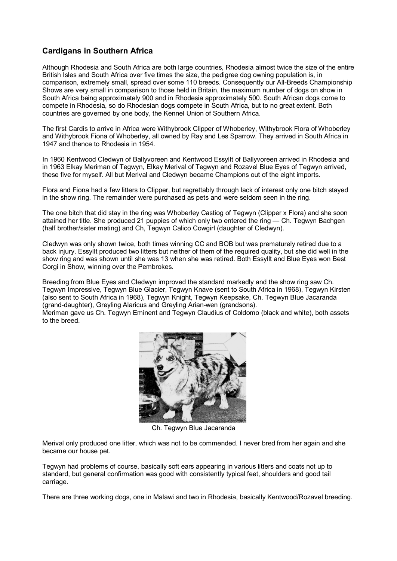## **Cardigans in Southern Africa**

Although Rhodesia and South Africa are both large countries, Rhodesia almost twice the size of the entire British Isles and South Africa over five times the size, the pedigree dog owning population is, in comparison, extremely small, spread over some 110 breeds. Consequently our All-Breeds Championship Shows are very small in comparison to those held in Britain, the maximum number of dogs on show in South Africa being approximately 900 and in Rhodesia approximately 500. South African dogs come to compete in Rhodesia, so do Rhodesian dogs compete in South Africa, but to no great extent. Both countries are governed by one body, the Kennel Union of Southern Africa.

The first Cardis to arrive in Africa were Withybrook Clipper of Whoberley, Withybrook Flora of Whoberley and Withybrook Fiona of Whoberley, all owned by Ray and Les Sparrow. They arrived in South Africa in 1947 and thence to Rhodesia in 1954.

In 1960 Kentwood Cledwyn of Ballyvoreen and Kentwood Essyllt of Ballyvoreen arrived in Rhodesia and in 1963 Elkay Meriman of Tegwyn, Elkay Merival of Tegwyn and Rozavel Blue Eyes of Tegwyn arrived, these five for myself. All but Merival and Cledwyn became Champions out of the eight imports.

Flora and Fiona had a few litters to Clipper, but regrettably through lack of interest only one bitch stayed in the show ring. The remainder were purchased as pets and were seldom seen in the ring.

The one bitch that did stay in the ring was Whoberley Castiog of Tegwyn (Clipper x Flora) and she soon attained her title. She produced 21 puppies of which only two entered the ring — Ch. Tegwyn Bachgen (half brother/sister mating) and Ch, Tegwyn Calico Cowgirl (daughter of Cledwyn).

Cledwyn was only shown twice, both times winning CC and BOB but was prematurely retired due to a back injury. Essyllt produced two litters but neither of them of the required quality, but she did well in the show ring and was shown until she was 13 when she was retired. Both Essyllt and Blue Eyes won Best Corgi in Show, winning over the Pembrokes.

Breeding from Blue Eyes and Cledwyn improved the standard markedly and the show ring saw Ch. Tegwyn Impressive, Tegwyn Blue Glacier, Tegwyn Knave (sent to South Africa in 1968), Tegwyn Kirsten (also sent to South Africa in 1968), Tegwyn Knight, Tegwyn Keepsake, Ch. Tegwyn Blue Jacaranda (grand-daughter), Greyling Alaricus and Greyling Arian-wen (grandsons).

Meriman gave us Ch. Tegwyn Eminent and Tegwyn Claudius of Coldomo (black and white), both assets to the breed.



Ch. Tegwyn Blue Jacaranda

Merival only produced one litter, which was not to be commended. I never bred from her again and she became our house pet.

Tegwyn had problems of course, basically soft ears appearing in various litters and coats not up to standard, but general confirmation was good with consistently typical feet, shoulders and good tail carriage.

There are three working dogs, one in Malawi and two in Rhodesia, basically Kentwood/Rozavel breeding.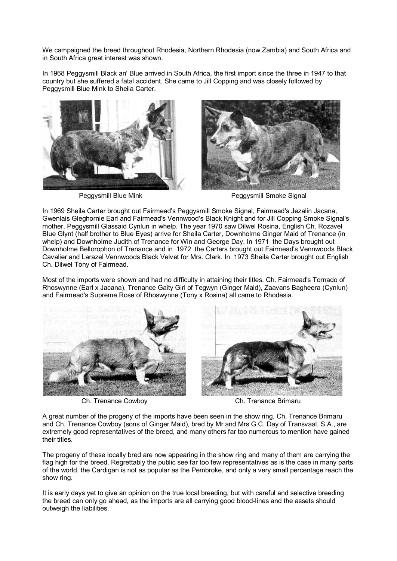We campaigned the breed throughout Rhodesia, Northern Rhodesia (now Zambia) and South Africa and in South Africa great interest was shown.

In 1968 Peggysmill Black an' Blue arrived in South Africa, the first import since the three in 1947 to that country but she suffered a fatal accident. She came to Jill Copping and was closely followed by Peggysmill Blue Mink to Sheila Carter.





Peggysmill Blue Mink **Peggysmill Smoke Signal** 

In 1969 Sheila Carter brought out Fairmead's Peggysmill Smoke Signal, Fairmead's Jezalin Jacana, Gwenlais Gleghornie Earl and Fairmead's Vennwood's Black Knight and for Jill Copping Smoke Signal's mother, Peggysmill Glassaid Cynlun in whelp. The year 1970 saw Dilwel Rosina, English Ch. Rozavel Blue Glynt (half brother to Blue Eyes) arrive for Sheila Carter, Downholme Ginger Maid of Trenance (in whelp) and Downholme Judith of Trenance for Win and George Day. In 1971 the Days brought out Downholme Bellorophon of Trenance and in 1972 the Carters brought out Fairmead's Vennwoods Black Cavalier and Larazel Vennwoods Black Velvet for Mrs. Clark. In 1973 Sheila Carter brought out English Ch. Dilwel Tony of Fairmead.

Most of the imports were shown and had no difficulty in attaining their titles. Ch. Fairmead's Tornado of Rhoswynne (Earl x Jacana), Trenance Gaity Girl of Tegwyn (Ginger Maid), Zaavans Bagheera (Cynlun) and Fairmead's Supreme Rose of Rhoswynne (Tony x Rosina) all came to Rhodesia.



Ch. Trenance Cowboy Ch. Trenance Brimaru



A great number of the progeny of the imports have been seen in the show ring, Ch. Trenance Brimaru and Ch. Trenance Cowboy (sons of Ginger Maid), bred by Mr and Mrs G.C. Day of Transvaal, S.A., are extremely good representatives of the breed, and many others far too numerous to mention have gained their titles.

The progeny of these locally bred are now appearing in the show ring and many of them are carrying the flag high for the breed. Regrettably the public see far too few representatives as is the case in many parts of the world, the Cardigan is not as popular as the Pembroke, and only a very small percentage reach the show ring.

It is early days yet to give an opinion on the true local breeding, but with careful and selective breeding the breed can only go ahead, as the imports are all carrying good blood-lines and the assets should outweigh the liabilities.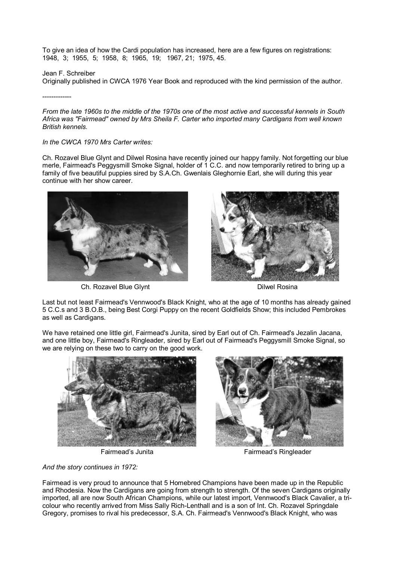To give an idea of how the Cardi population has increased, here are a few figures on registrations: 1948, 3; 1955, 5; 1958, 8; 1965, 19; 1967, 21; 1975, 45.

Jean F. Schreiber

Originally published in CWCA 1976 Year Book and reproduced with the kind permission of the author.

-------------

*From the late 1960s to the middle of the 1970s one of the most active and successful kennels in South Africa was "Fairmead" owned by Mrs Sheila F. Carter who imported many Cardigans from well known British kennels.* 

## *In the CWCA 1970 Mrs Carter writes:*

Ch. Rozavel Blue Glynt and Dilwel Rosina have recently joined our happy family. Not forgetting our blue merle, Fairmead's Peggysmill Smoke Signal, holder of 1 C.C. and now temporarily retired to bring up a family of five beautiful puppies sired by S.A.Ch. Gwenlais Gleghornie Earl, she will during this year continue with her show career.



Ch. Rozavel Blue Glynt Dilwel Rosina



Last but not least Fairmead's Vennwood's Black Knight, who at the age of 10 months has already gained 5 C.C.s and 3 B.O.B., being Best Corgi Puppy on the recent Goldfields Show; this included Pembrokes as well as Cardigans.

We have retained one little girl, Fairmead's Junita, sired by Earl out of Ch. Fairmead's Jezalin Jacana, and one little boy, Fairmead's Ringleader, sired by Earl out of Fairmead's Peggysmill Smoke Signal, so we are relying on these two to carry on the good work.



*And the story continues in 1972:* 



Fairmead's Junita Fairmead's Ringleader

Fairmead is very proud to announce that 5 Homebred Champions have been made up in the Republic and Rhodesia. Now the Cardigans are going from strength to strength. Of the seven Cardigans originally imported, all are now South African Champions, while our latest import, Vennwood's Black Cavalier, a tricolour who recently arrived from Miss Sally Rich-Lenthall and is a son of Int. Ch. Rozavel Springdale Gregory, promises to rival his predecessor, S.A. Ch. Fairmead's Vennwood's Black Knight, who was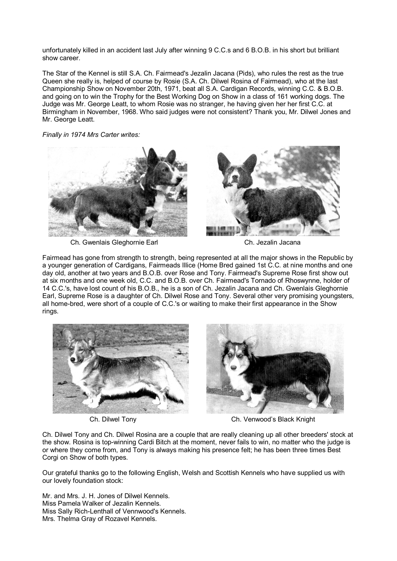unfortunately killed in an accident last July after winning 9 C.C.s and 6 B.O.B. in his short but brilliant show career.

The Star of the Kennel is still S.A. Ch. Fairmead's Jezalin Jacana (Pids), who rules the rest as the true Queen she really is, helped of course by Rosie (S.A. Ch. Dilwel Rosina of Fairmead), who at the last Championship Show on November 20th, 1971, beat all S.A. Cardigan Records, winning C.C. & B.O.B. and going on to win the Trophy for the Best Working Dog on Show in a class of 161 working dogs. The Judge was Mr. George Leatt, to whom Rosie was no stranger, he having given her her first C.C. at Birmingham in November, 1968. Who said judges were not consistent? Thank you, Mr. Dilwel Jones and Mr. George Leatt.

*Finally in 1974 Mrs Carter writes:* 



Ch. Gwenlais Gleghornie Earl Ch. Jezalin Jacana

Fairmead has gone from strength to strength, being represented at all the major shows in the Republic by a younger generation of Cardigans, Fairmeads Illice (Home Bred gained 1st C.C. at nine months and one day old, another at two years and B.O.B. over Rose and Tony. Fairmead's Supreme Rose first show out at six months and one week old, C.C. and B.O.B. over Ch. Fairmead's Tornado of Rhoswynne, holder of 14 C.C.'s, have lost count of his B.O.B., he is a son of Ch. Jezalin Jacana and Ch. Gwenlais Gleghornie Earl, Supreme Rose is a daughter of Ch. Dilwel Rose and Tony. Several other very promising youngsters, all home-bred, were short of a couple of C.C.'s or waiting to make their first appearance in the Show rings.





Ch. Dilwel Tony Ch. Venwood's Black Knight

Ch. Dilwel Tony and Ch. Dilwel Rosina are a couple that are really cleaning up all other breeders' stock at the show. Rosina is top-winning Cardi Bitch at the moment, never fails to win, no matter who the judge is or where they come from, and Tony is always making his presence felt; he has been three times Best Corgi on Show of both types.

Our grateful thanks go to the following English, Welsh and Scottish Kennels who have supplied us with our lovely foundation stock:

Mr. and Mrs. J. H. Jones of Dilwel Kennels. Miss Pamela Walker of Jezalin Kennels. Miss Sally Rich-Lenthall of Vennwood's Kennels. Mrs. Thelma Gray of Rozavel Kennels.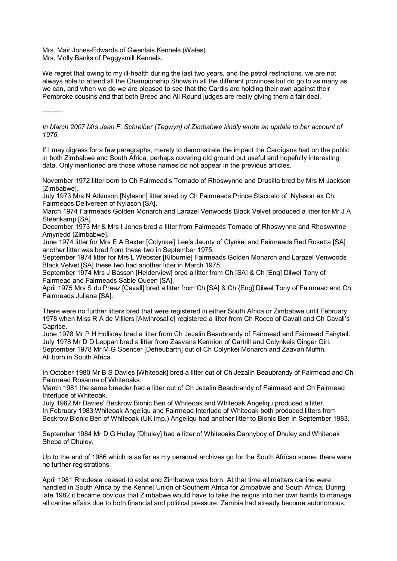Mrs. Mair Jones-Edwards of Gwenlais Kennels (Wales). Mrs. Molly Banks of Peggysmill Kennels.

We regret that owing to my ill-health during the last two years, and the petrol restrictions, we are not always able to attend all the Championship Shows in all the different provinces but do go to as many as we can, and when we do we are pleased to see that the Cardis are holding their own against their Pembroke cousins and that both Breed and All Round judges are really giving them a fair deal.

*---------* 

*In March 2007 Mrs Jean F. Schreiber (Tegwyn) of Zimbabwe kindly wrote an update to her account of 1976.* 

If I may digress for a few paragraphs, merely to demonstrate the impact the Cardigans had on the public in both Zimbabwe and South Africa, perhaps covering old ground but useful and hopefully interesting data. Only mentioned are those whose names do not appear in the previous articles.

November 1972 litter born to Ch Fairmead's Tornado of Rhoswynne and Drusilla bred by Mrs M Jackson [Zimbabwe].

July 1973 Mrs N Atkinson [Nylason] litter sired by Ch Fairmeads Prince Staccato of Nylason ex Ch Fairmeads Dellvereen of Nylason [SA].

March 1974 Fairmeads Golden Monarch and Larazel Venwoods Black Velvet produced a litter for Mr J A Steenkamp [SA].

December 1973 Mr & Mrs I Jones bred a litter from Fairmeads Tornado of Rhoswynne and Rhoswynne Amynedd [Zimbabwe].

June 1974 litter for Mrs E A Baxter [Colynkei] Lee's Jaunty of Clynkei and Fairmeads Red Rosetta [SA] another litter was bred from these two in September 1975.

September 1974 litter for Mrs L Webster [Kilburnie] Fairmeads Golden Monarch and Larazel Venwoods Black Velvet [SA] these two had another litter in March 1975.

September 1974 Mrs J Basson [Helderview] bred a litter from Ch [SA] & Ch [Eng] Dilwel Tony of Fairmead and Fairmeads Sable Queen [SA].

April 1975 Mrs S du Preez [Cavall] bred a litter from Ch [SA] & Ch {Eng] Dilwel Tony of Fairmead and Ch Fairmeads Juliana [SA].

There were no further litters bred that were registered in either South Africa or Zimbabwe until February 1978 when Miss R A de Villiers [Alwinrosalie] registered a litter from Ch Rocco of Cavall and Ch Cavall's Caprice.

June 1978 Mr P H Holliday bred a litter from Ch Jezalin Beaubrandy of Fairmead and Fairmead Fairytail. July 1978 Mr D D Leppan bred a litter from Zaavans Kermion of Cartrill and Colynkeis Ginger Girl. September 1978 Mr M G Spencer [Deheubarth] out of Ch Colynkei Monarch and Zaavan Muffin. All born in South Africa.

In October 1980 Mr B S Davies [Whiteoak] bred a litter out of Ch Jezalin Beaubrandy of Fairmead and Ch Fairmead Rosanne of Whiteoaks.

March 1981 the same breeder had a litter out of Ch Jezalin Beaubrandy of Fairmead and Ch Fairmead Interlude of Whiteoak.

July 1982 Mr Davies' Beckrow Bionic Ben of Whiteoak and Whiteoak Angeliqu produced a litter. In February 1983 Whiteoak Angeliqu and Fairmead Interlude of Whiteoak both produced litters from Beckrow Bionic Ben of Whiteoak (UK imp.) Angeliqu had another litter to Bionic Ben in September 1983.

September 1984 Mr D G Hulley [Dhuley] had a litter of Whiteoaks Dannyboy of Dhuley and Whiteoak Sheba of Dhuley.

Up to the end of 1986 which is as far as my personal archives go for the South African scene, there were no further registrations.

April 1981 Rhodesia ceased to exist and Zimbabwe was born. At that time all matters canine were handled in South Africa by the Kennel Union of Southern Africa for Zimbabwe and South Africa. During late 1982 it became obvious that Zimbabwe would have to take the reigns into her own hands to manage all canine affairs due to both financial and political pressure. Zambia had already become autonomous.